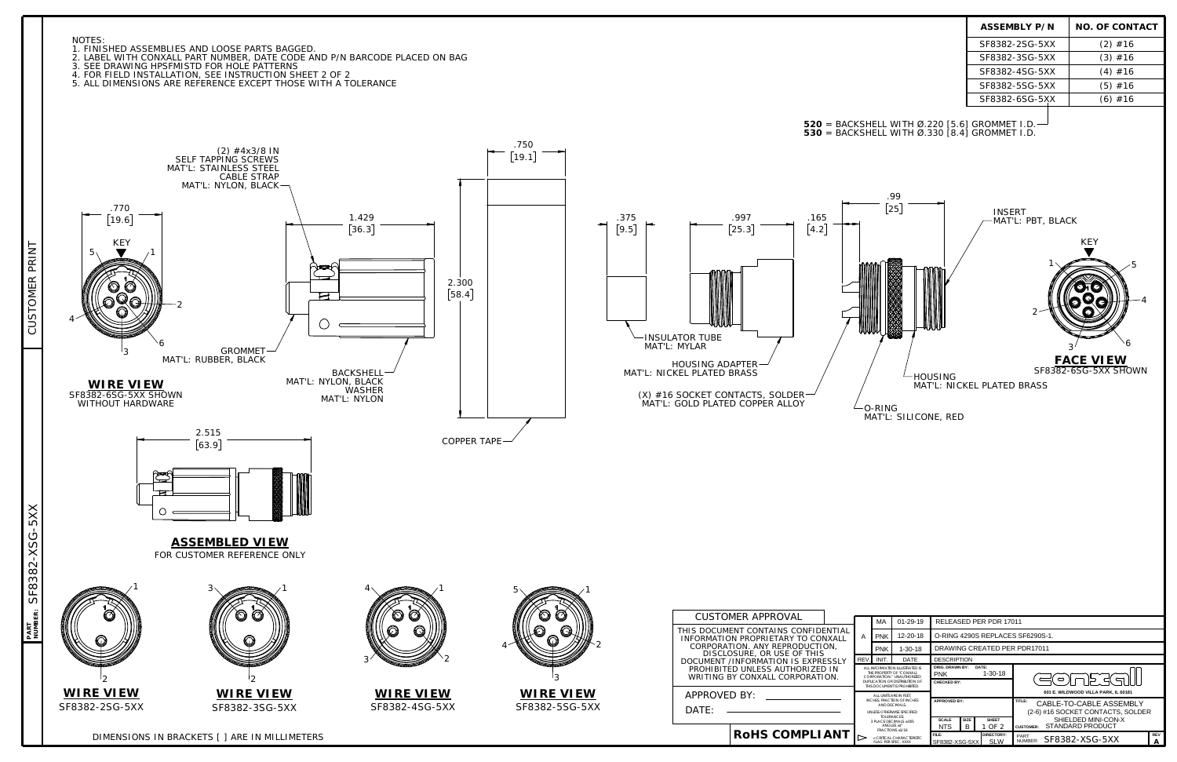DIMENSIONS IN BRACKETS [ ] ARE IN MILLIMETERS



1. FINISHED ASSEMBLIES AND LOOSE PARTS BAGGED. 2. LABEL WITH CONXALL PART NUMBER, DATE CODE AND P/N BARCODE PLACED ON BAG

3. SEE DRAWING HPSFMISTD FOR HOLE PATTERNS

4. FOR FIELD INSTALLATION, SEE INSTRUCTION SHEET 2 OF 2

5. ALL DIMENSIONS ARE REFERENCE EXCEPT THOSE WITH A TOLERANCE

**NUMBER:**



SF8382-XSG-5XX

SF8382-XSG-5XX

**PART**

|                                                                                                                                                            | INIT. | DATE                    | <b>DESCRIPTION</b>                                                                   |                                 |                                                      |                                                             |  |  |
|------------------------------------------------------------------------------------------------------------------------------------------------------------|-------|-------------------------|--------------------------------------------------------------------------------------|---------------------------------|------------------------------------------------------|-------------------------------------------------------------|--|--|
| ALL INFORMATION ILLUSTRATED IS<br>THE PROPERTY OF "CONXALL<br>CORPORATION * UNAUTHORIZED<br>DUPLICATION OR DISTRIBUTION OF<br>THIS DOCUMENT IS PROHIBITED. |       |                         | <b>ORIG. DRAWN BY:</b><br>DATE:<br>$1 - 30 - 18$<br><b>PNK</b><br><b>CHECKED BY:</b> |                                 |                                                      | ⌒                                                           |  |  |
| ALL UNITS ARE IN FEET.                                                                                                                                     |       |                         |                                                                                      |                                 |                                                      | 601 E. WILDWOOD VILLA PARK. IL 60181                        |  |  |
| INCHES. FRACTION OF INCHES<br>AND DECIMALS                                                                                                                 |       |                         | <b>APPROVED BY:</b>                                                                  |                                 |                                                      | TITLE:<br>CABLE-TO-CABLE ASSEMBLY                           |  |  |
| UNLESS OTHERWISE SPECIFIED.<br>TOI FRANCES:                                                                                                                |       |                         |                                                                                      |                                 |                                                      | (2-6) #16 SOCKET CONTACTS, SOLDER                           |  |  |
| 3 PLACE DECIMALS + 005<br>ANGLES +1°<br><b>FRACTIONS +1/16</b>                                                                                             |       |                         | <b>SCALE</b><br><b>NTS</b>                                                           | <b>SIZE</b><br>B                | <b>SHEET</b><br>1 OF 2                               | SHIELDED MINI-CON-X<br>STANDARD PRODUCT<br><b>CUSTOMER:</b> |  |  |
| $=$ CRITICAL CHARACTERISTIC.<br><b>FLAG PER SPEC. XXXX</b>                                                                                                 |       | FILE:<br>SF8382-XSG-5XX |                                                                                      | <b>DIRECTORY:</b><br><b>SLW</b> | <b>REV</b><br>PART<br>SF8382-XSG-5XX<br>NUMBER:<br>А |                                                             |  |  |

|                                                                                                                                                                                    |                                        | <b>ASSEMBLY P/N</b>                                              | <b>NO. OF CONTACT</b>                                                                   |
|------------------------------------------------------------------------------------------------------------------------------------------------------------------------------------|----------------------------------------|------------------------------------------------------------------|-----------------------------------------------------------------------------------------|
|                                                                                                                                                                                    |                                        | SF8382-2SG-5XX                                                   | $(2)$ #16                                                                               |
|                                                                                                                                                                                    |                                        | SF8382-3SG-5XX                                                   | $(3)$ #16                                                                               |
|                                                                                                                                                                                    |                                        | SF8382-4SG-5XX                                                   | $(4)$ #16                                                                               |
|                                                                                                                                                                                    |                                        | SF8382-5SG-5XX                                                   | $(5)$ #16                                                                               |
|                                                                                                                                                                                    |                                        | SF8382-6SG-5XX                                                   | $(6)$ #16                                                                               |
| <b>520</b> = BACKSHELL WITH Ø.220 [5.6] GROMMET I.D. <mark>-</mark><br><b>530</b> = BACKSHELL WITH Ø.330 [8.4] GROMMET I.D.<br>.99<br>[25]<br>.165<br>$\left[4.2\right]$<br>O-RING | <b>HOUSING</b><br>MAT'L: SILICONE, RED | <b>INSERT</b><br>MAT'L: PBT, BLACK<br>MAT'L: NICKEL PLATED BRASS | <b>KEY</b><br>5<br>$\overline{4}$<br>6<br>3<br><b>FACE VIEW</b><br>SF8382-6SG-5XX SHOWN |
|                                                                                                                                                                                    |                                        |                                                                  |                                                                                         |
|                                                                                                                                                                                    |                                        |                                                                  |                                                                                         |
|                                                                                                                                                                                    |                                        |                                                                  |                                                                                         |
|                                                                                                                                                                                    |                                        |                                                                  |                                                                                         |
|                                                                                                                                                                                    |                                        |                                                                  |                                                                                         |
|                                                                                                                                                                                    |                                        |                                                                  |                                                                                         |
|                                                                                                                                                                                    |                                        |                                                                  |                                                                                         |
|                                                                                                                                                                                    |                                        |                                                                  |                                                                                         |
|                                                                                                                                                                                    |                                        |                                                                  |                                                                                         |
| MA<br>01-29-19<br><b>NFIDENTIAL</b>                                                                                                                                                |                                        | RELEASED PER PDR 17011                                           |                                                                                         |
| <b>PNK</b><br>12-20-18<br>Α<br>CONXALL<br>UCTION,                                                                                                                                  |                                        | O-RING 4290S REPLACES SF6290S-1.                                 |                                                                                         |
| <b>PNK</b><br>$1 - 30 - 18$<br>THIS<br>REV.<br>INIT.<br>DATE                                                                                                                       | <b>DESCRIPTION</b>                     | DRAWING CREATED PER PDR17011                                     |                                                                                         |
| <b>EXPRESSI Y</b>                                                                                                                                                                  |                                        |                                                                  |                                                                                         |

CUSTOMER PRINT

CUSTOMER PRINT